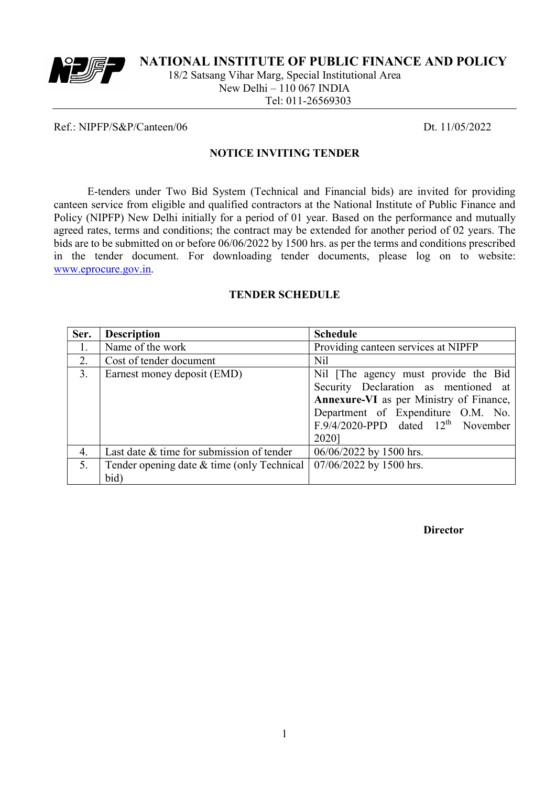

NATIONAL INSTITUTE OF PUBLIC FINANCE AND POLICY

18/2 Satsang Vihar Marg, Special Institutional Area New Delhi – 110 067 INDIA Tel: 011-26569303

#### Ref.: NIPFP/S&P/Canteen/06 Dt. 11/05/2022

#### NOTICE INVITING TENDER

E-tenders under Two Bid System (Technical and Financial bids) are invited for providing canteen service from eligible and qualified contractors at the National Institute of Public Finance and Policy (NIPFP) New Delhi initially for a period of 01 year. Based on the performance and mutually agreed rates, terms and conditions; the contract may be extended for another period of 02 years. The bids are to be submitted on or before 06/06/2022 by 1500 hrs. as per the terms and conditions prescribed in the tender document. For downloading tender documents, please log on to website: www.eprocure.gov.in.

#### TENDER SCHEDULE

| Ser. | <b>Description</b>                         | <b>Schedule</b>                                |  |
|------|--------------------------------------------|------------------------------------------------|--|
| 1.   | Name of the work                           | Providing canteen services at NIPFP            |  |
| 2.   | Cost of tender document                    | Nil                                            |  |
| 3.   | Earnest money deposit (EMD)                | Nil [The agency must provide the Bid           |  |
|      |                                            | Security Declaration as mentioned at           |  |
|      |                                            | <b>Annexure-VI</b> as per Ministry of Finance, |  |
|      |                                            | Department of Expenditure O.M. No.             |  |
|      |                                            | $F.9/4/2020$ -PPD dated $12th$ November        |  |
|      |                                            | 2020]                                          |  |
| 4.   | Last date & time for submission of tender  | 06/06/2022 by 1500 hrs.                        |  |
| 5.   | Tender opening date & time (only Technical | 07/06/2022 by 1500 hrs.                        |  |
|      | bid)                                       |                                                |  |

Director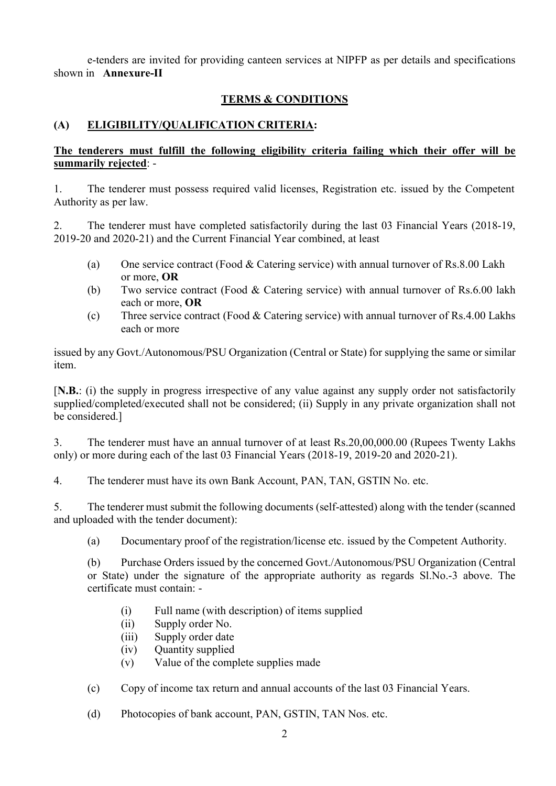e-tenders are invited for providing canteen services at NIPFP as per details and specifications shown in Annexure-II

## TERMS & CONDITIONS

## (A) ELIGIBILITY/QUALIFICATION CRITERIA:

### The tenderers must fulfill the following eligibility criteria failing which their offer will be summarily rejected: -

1. The tenderer must possess required valid licenses, Registration etc. issued by the Competent Authority as per law.

2. The tenderer must have completed satisfactorily during the last 03 Financial Years (2018-19, 2019-20 and 2020-21) and the Current Financial Year combined, at least

- (a) One service contract (Food & Catering service) with annual turnover of Rs.8.00 Lakh or more, OR
- (b) Two service contract (Food & Catering service) with annual turnover of Rs.6.00 lakh each or more, OR
- (c) Three service contract (Food & Catering service) with annual turnover of Rs.4.00 Lakhs each or more

issued by any Govt./Autonomous/PSU Organization (Central or State) for supplying the same or similar item.

[N.B.: (i) the supply in progress irrespective of any value against any supply order not satisfactorily supplied/completed/executed shall not be considered; (ii) Supply in any private organization shall not be considered.]

3. The tenderer must have an annual turnover of at least Rs.20,00,000.00 (Rupees Twenty Lakhs only) or more during each of the last 03 Financial Years (2018-19, 2019-20 and 2020-21).

4. The tenderer must have its own Bank Account, PAN, TAN, GSTIN No. etc.

5. The tenderer must submit the following documents (self-attested) along with the tender (scanned and uploaded with the tender document):

(a) Documentary proof of the registration/license etc. issued by the Competent Authority.

(b) Purchase Orders issued by the concerned Govt./Autonomous/PSU Organization (Central or State) under the signature of the appropriate authority as regards Sl.No.-3 above. The certificate must contain: -

- (i) Full name (with description) of items supplied
- (ii) Supply order No.
- (iii) Supply order date
- (iv) Quantity supplied
- (v) Value of the complete supplies made
- (c) Copy of income tax return and annual accounts of the last 03 Financial Years.
- (d) Photocopies of bank account, PAN, GSTIN, TAN Nos. etc.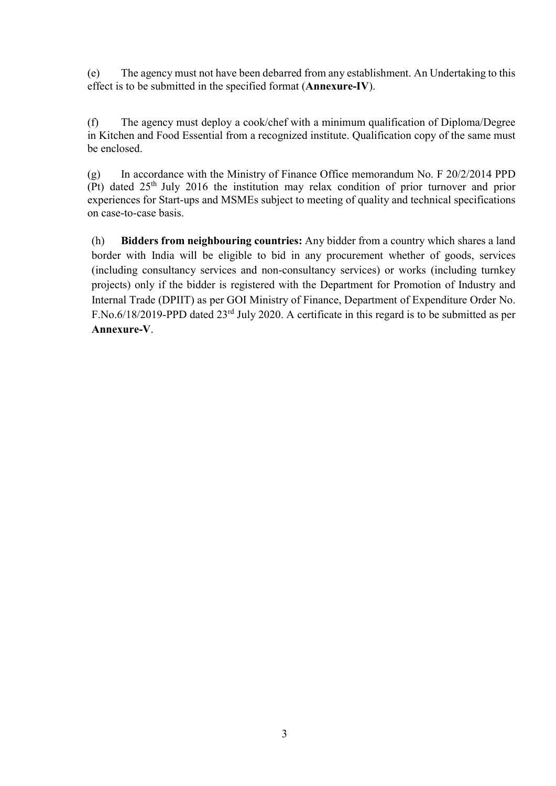(e) The agency must not have been debarred from any establishment. An Undertaking to this effect is to be submitted in the specified format (Annexure-IV).

(f) The agency must deploy a cook/chef with a minimum qualification of Diploma/Degree in Kitchen and Food Essential from a recognized institute. Qualification copy of the same must be enclosed.

(g) In accordance with the Ministry of Finance Office memorandum No. F 20/2/2014 PPD (Pt) dated  $25<sup>th</sup>$  July 2016 the institution may relax condition of prior turnover and prior experiences for Start-ups and MSMEs subject to meeting of quality and technical specifications on case-to-case basis.

(h) Bidders from neighbouring countries: Any bidder from a country which shares a land border with India will be eligible to bid in any procurement whether of goods, services (including consultancy services and non-consultancy services) or works (including turnkey projects) only if the bidder is registered with the Department for Promotion of Industry and Internal Trade (DPIIT) as per GOI Ministry of Finance, Department of Expenditure Order No. F.No.6/18/2019-PPD dated 23rd July 2020. A certificate in this regard is to be submitted as per Annexure-V.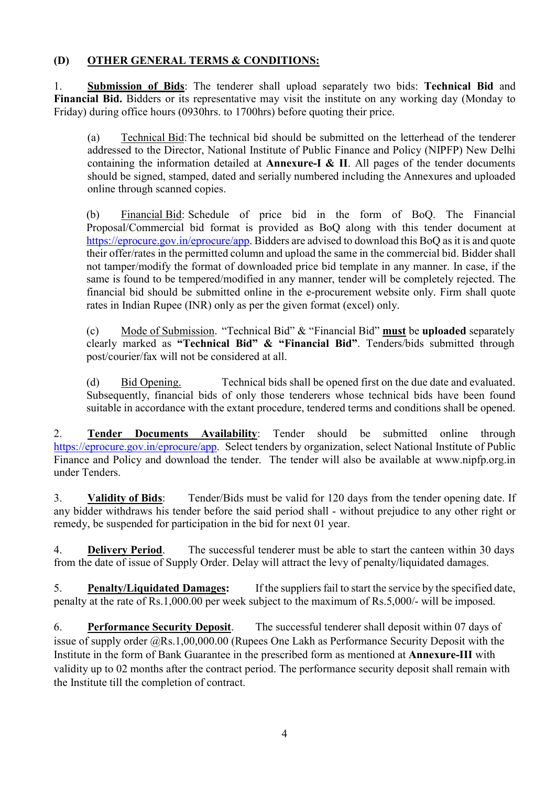# (D) OTHER GENERAL TERMS & CONDITIONS:

1. Submission of Bids: The tenderer shall upload separately two bids: Technical Bid and Financial Bid. Bidders or its representative may visit the institute on any working day (Monday to Friday) during office hours (0930hrs. to 1700hrs) before quoting their price.

(a) Technical Bid: The technical bid should be submitted on the letterhead of the tenderer addressed to the Director, National Institute of Public Finance and Policy (NIPFP) New Delhi containing the information detailed at **Annexure-I & II**. All pages of the tender documents should be signed, stamped, dated and serially numbered including the Annexures and uploaded online through scanned copies.

(b) Financial Bid: Schedule of price bid in the form of BoQ. The Financial Proposal/Commercial bid format is provided as BoQ along with this tender document at https://eprocure.gov.in/eprocure/app. Bidders are advised to download this BoQ as it is and quote their offer/rates in the permitted column and upload the same in the commercial bid. Bidder shall not tamper/modify the format of downloaded price bid template in any manner. In case, if the same is found to be tempered/modified in any manner, tender will be completely rejected. The financial bid should be submitted online in the e-procurement website only. Firm shall quote rates in Indian Rupee (INR) only as per the given format (excel) only.

 (c) Mode of Submission. "Technical Bid" & "Financial Bid" must be uploaded separately clearly marked as "Technical Bid" & "Financial Bid". Tenders/bids submitted through post/courier/fax will not be considered at all.

(d) Bid Opening. Technical bids shall be opened first on the due date and evaluated. Subsequently, financial bids of only those tenderers whose technical bids have been found suitable in accordance with the extant procedure, tendered terms and conditions shall be opened.

2. Tender Documents Availability: Tender should be submitted online through https://eprocure.gov.in/eprocure/app. Select tenders by organization, select National Institute of Public Finance and Policy and download the tender. The tender will also be available at www.nipfp.org.in under Tenders.

3. Validity of Bids: Tender/Bids must be valid for 120 days from the tender opening date. If any bidder withdraws his tender before the said period shall - without prejudice to any other right or remedy, be suspended for participation in the bid for next 01 year.

4. Delivery Period. The successful tenderer must be able to start the canteen within 30 days from the date of issue of Supply Order. Delay will attract the levy of penalty/liquidated damages.

5. Penalty/Liquidated Damages: If the suppliers fail to start the service by the specified date, penalty at the rate of Rs.1,000.00 per week subject to the maximum of Rs.5,000/- will be imposed.

6. Performance Security Deposit. The successful tenderer shall deposit within 07 days of issue of supply order @Rs.1,00,000.00 (Rupees One Lakh as Performance Security Deposit with the Institute in the form of Bank Guarantee in the prescribed form as mentioned at Annexure-III with validity up to 02 months after the contract period. The performance security deposit shall remain with the Institute till the completion of contract.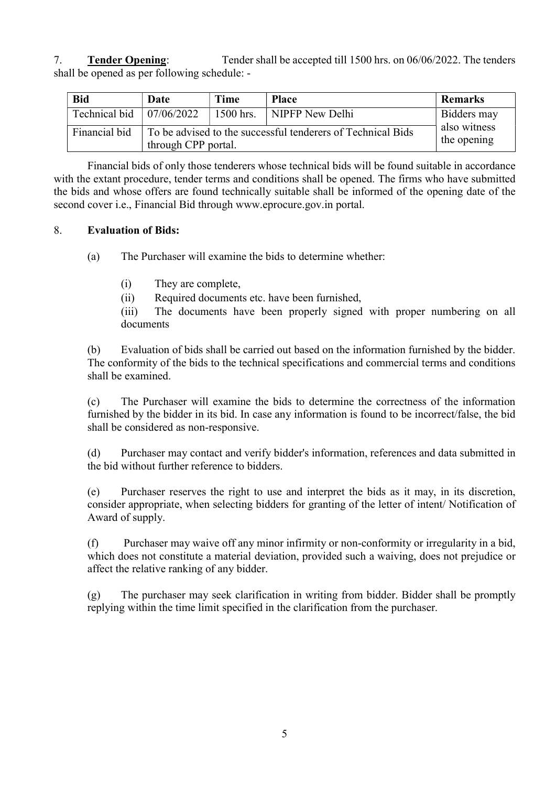7. Tender Opening: Tender shall be accepted till 1500 hrs. on 06/06/2022. The tenders shall be opened as per following schedule: -

| <b>Bid</b>                             | Date                                                                               | Time                        | <b>Place</b>    | <b>Remarks</b> |
|----------------------------------------|------------------------------------------------------------------------------------|-----------------------------|-----------------|----------------|
| Technical bid $\vert 07/06/2022 \vert$ |                                                                                    | 1500 hrs.                   | NIPFP New Delhi | Bidders may    |
| Financial bid                          | To be advised to the successful tenderers of Technical Bids<br>through CPP portal. | also witness<br>the opening |                 |                |

Financial bids of only those tenderers whose technical bids will be found suitable in accordance with the extant procedure, tender terms and conditions shall be opened. The firms who have submitted the bids and whose offers are found technically suitable shall be informed of the opening date of the second cover i.e., Financial Bid through www.eprocure.gov.in portal.

## 8. Evaluation of Bids:

(a) The Purchaser will examine the bids to determine whether:

(i) They are complete,

(ii) Required documents etc. have been furnished,

(iii) The documents have been properly signed with proper numbering on all documents

(b) Evaluation of bids shall be carried out based on the information furnished by the bidder. The conformity of the bids to the technical specifications and commercial terms and conditions shall be examined.

(c) The Purchaser will examine the bids to determine the correctness of the information furnished by the bidder in its bid. In case any information is found to be incorrect/false, the bid shall be considered as non-responsive.

(d) Purchaser may contact and verify bidder's information, references and data submitted in the bid without further reference to bidders.

(e) Purchaser reserves the right to use and interpret the bids as it may, in its discretion, consider appropriate, when selecting bidders for granting of the letter of intent/ Notification of Award of supply.

(f) Purchaser may waive off any minor infirmity or non-conformity or irregularity in a bid, which does not constitute a material deviation, provided such a waiving, does not prejudice or affect the relative ranking of any bidder.

(g) The purchaser may seek clarification in writing from bidder. Bidder shall be promptly replying within the time limit specified in the clarification from the purchaser.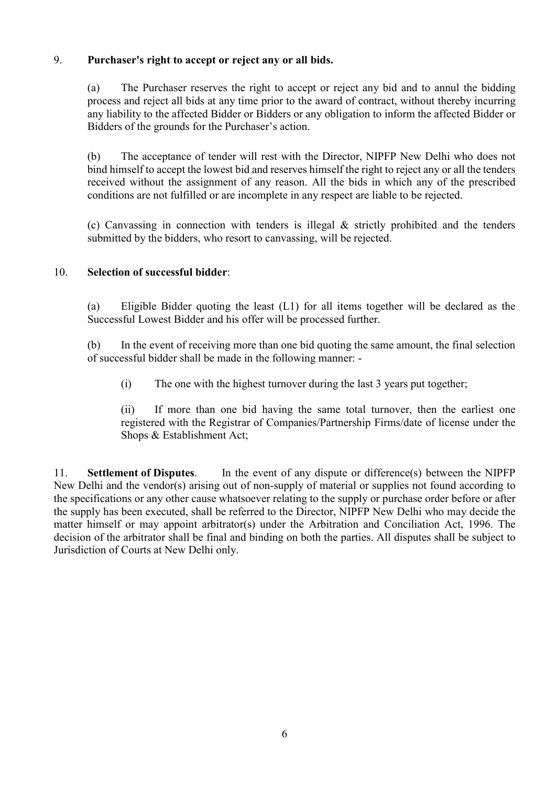### 9. Purchaser's right to accept or reject any or all bids.

(a) The Purchaser reserves the right to accept or reject any bid and to annul the bidding process and reject all bids at any time prior to the award of contract, without thereby incurring any liability to the affected Bidder or Bidders or any obligation to inform the affected Bidder or Bidders of the grounds for the Purchaser's action.

(b) The acceptance of tender will rest with the Director, NIPFP New Delhi who does not bind himself to accept the lowest bid and reserves himself the right to reject any or all the tenders received without the assignment of any reason. All the bids in which any of the prescribed conditions are not fulfilled or are incomplete in any respect are liable to be rejected.

(c) Canvassing in connection with tenders is illegal & strictly prohibited and the tenders submitted by the bidders, who resort to canvassing, will be rejected.

#### 10. Selection of successful bidder:

(a) Eligible Bidder quoting the least (L1) for all items together will be declared as the Successful Lowest Bidder and his offer will be processed further.

(b) In the event of receiving more than one bid quoting the same amount, the final selection of successful bidder shall be made in the following manner: -

(i) The one with the highest turnover during the last 3 years put together;

(ii) If more than one bid having the same total turnover, then the earliest one registered with the Registrar of Companies/Partnership Firms/date of license under the Shops & Establishment Act;

11. Settlement of Disputes. In the event of any dispute or difference(s) between the NIPFP New Delhi and the vendor(s) arising out of non-supply of material or supplies not found according to the specifications or any other cause whatsoever relating to the supply or purchase order before or after the supply has been executed, shall be referred to the Director, NIPFP New Delhi who may decide the matter himself or may appoint arbitrator(s) under the Arbitration and Conciliation Act, 1996. The decision of the arbitrator shall be final and binding on both the parties. All disputes shall be subject to Jurisdiction of Courts at New Delhi only.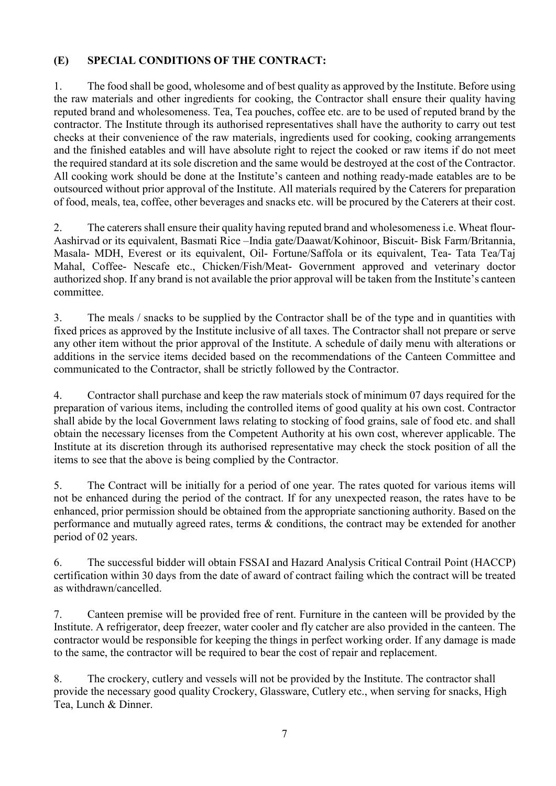# (E) SPECIAL CONDITIONS OF THE CONTRACT:

1. The food shall be good, wholesome and of best quality as approved by the Institute. Before using the raw materials and other ingredients for cooking, the Contractor shall ensure their quality having reputed brand and wholesomeness. Tea, Tea pouches, coffee etc. are to be used of reputed brand by the contractor. The Institute through its authorised representatives shall have the authority to carry out test checks at their convenience of the raw materials, ingredients used for cooking, cooking arrangements and the finished eatables and will have absolute right to reject the cooked or raw items if do not meet the required standard at its sole discretion and the same would be destroyed at the cost of the Contractor. All cooking work should be done at the Institute's canteen and nothing ready-made eatables are to be outsourced without prior approval of the Institute. All materials required by the Caterers for preparation of food, meals, tea, coffee, other beverages and snacks etc. will be procured by the Caterers at their cost.

2. The caterers shall ensure their quality having reputed brand and wholesomeness i.e. Wheat flour-Aashirvad or its equivalent, Basmati Rice –India gate/Daawat/Kohinoor, Biscuit- Bisk Farm/Britannia, Masala- MDH, Everest or its equivalent, Oil- Fortune/Saffola or its equivalent, Tea- Tata Tea/Taj Mahal, Coffee- Nescafe etc., Chicken/Fish/Meat- Government approved and veterinary doctor authorized shop. If any brand is not available the prior approval will be taken from the Institute's canteen committee.

3. The meals / snacks to be supplied by the Contractor shall be of the type and in quantities with fixed prices as approved by the Institute inclusive of all taxes. The Contractor shall not prepare or serve any other item without the prior approval of the Institute. A schedule of daily menu with alterations or additions in the service items decided based on the recommendations of the Canteen Committee and communicated to the Contractor, shall be strictly followed by the Contractor.

4. Contractor shall purchase and keep the raw materials stock of minimum 07 days required for the preparation of various items, including the controlled items of good quality at his own cost. Contractor shall abide by the local Government laws relating to stocking of food grains, sale of food etc. and shall obtain the necessary licenses from the Competent Authority at his own cost, wherever applicable. The Institute at its discretion through its authorised representative may check the stock position of all the items to see that the above is being complied by the Contractor.

5. The Contract will be initially for a period of one year. The rates quoted for various items will not be enhanced during the period of the contract. If for any unexpected reason, the rates have to be enhanced, prior permission should be obtained from the appropriate sanctioning authority. Based on the performance and mutually agreed rates, terms & conditions, the contract may be extended for another period of 02 years.

6. The successful bidder will obtain FSSAI and Hazard Analysis Critical Contrail Point (HACCP) certification within 30 days from the date of award of contract failing which the contract will be treated as withdrawn/cancelled.

7. Canteen premise will be provided free of rent. Furniture in the canteen will be provided by the Institute. A refrigerator, deep freezer, water cooler and fly catcher are also provided in the canteen. The contractor would be responsible for keeping the things in perfect working order. If any damage is made to the same, the contractor will be required to bear the cost of repair and replacement.

8. The crockery, cutlery and vessels will not be provided by the Institute. The contractor shall provide the necessary good quality Crockery, Glassware, Cutlery etc., when serving for snacks, High Tea, Lunch & Dinner.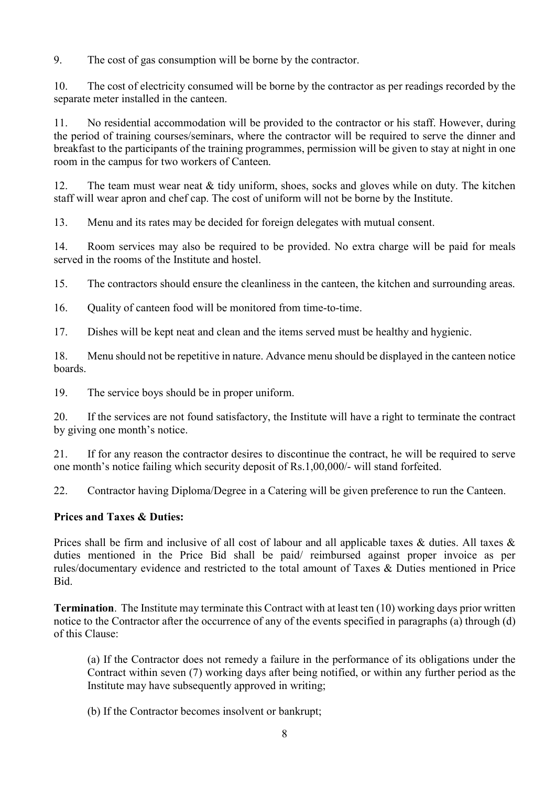9. The cost of gas consumption will be borne by the contractor.

10. The cost of electricity consumed will be borne by the contractor as per readings recorded by the separate meter installed in the canteen.

11. No residential accommodation will be provided to the contractor or his staff. However, during the period of training courses/seminars, where the contractor will be required to serve the dinner and breakfast to the participants of the training programmes, permission will be given to stay at night in one room in the campus for two workers of Canteen.

12. The team must wear neat & tidy uniform, shoes, socks and gloves while on duty. The kitchen staff will wear apron and chef cap. The cost of uniform will not be borne by the Institute.

13. Menu and its rates may be decided for foreign delegates with mutual consent.

14. Room services may also be required to be provided. No extra charge will be paid for meals served in the rooms of the Institute and hostel.

15. The contractors should ensure the cleanliness in the canteen, the kitchen and surrounding areas.

16. Quality of canteen food will be monitored from time-to-time.

17. Dishes will be kept neat and clean and the items served must be healthy and hygienic.

18. Menu should not be repetitive in nature. Advance menu should be displayed in the canteen notice boards.

19. The service boys should be in proper uniform.

20. If the services are not found satisfactory, the Institute will have a right to terminate the contract by giving one month's notice.

21. If for any reason the contractor desires to discontinue the contract, he will be required to serve one month's notice failing which security deposit of Rs.1,00,000/- will stand forfeited.

22. Contractor having Diploma/Degree in a Catering will be given preference to run the Canteen.

### Prices and Taxes & Duties:

Prices shall be firm and inclusive of all cost of labour and all applicable taxes & duties. All taxes & duties mentioned in the Price Bid shall be paid/ reimbursed against proper invoice as per rules/documentary evidence and restricted to the total amount of Taxes & Duties mentioned in Price Bid.

Termination. The Institute may terminate this Contract with at least ten (10) working days prior written notice to the Contractor after the occurrence of any of the events specified in paragraphs (a) through (d) of this Clause:

(a) If the Contractor does not remedy a failure in the performance of its obligations under the Contract within seven (7) working days after being notified, or within any further period as the Institute may have subsequently approved in writing;

(b) If the Contractor becomes insolvent or bankrupt;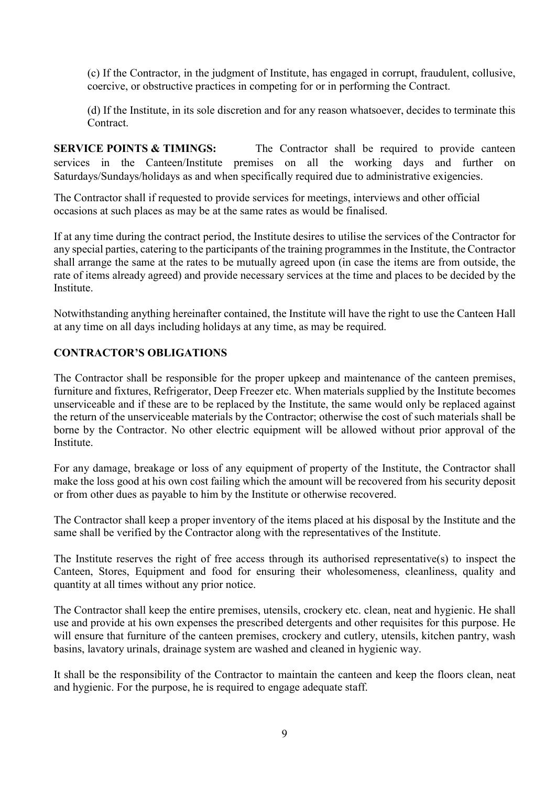(c) If the Contractor, in the judgment of Institute, has engaged in corrupt, fraudulent, collusive, coercive, or obstructive practices in competing for or in performing the Contract.

(d) If the Institute, in its sole discretion and for any reason whatsoever, decides to terminate this Contract.

SERVICE POINTS & TIMINGS: The Contractor shall be required to provide canteen services in the Canteen/Institute premises on all the working days and further on Saturdays/Sundays/holidays as and when specifically required due to administrative exigencies.

The Contractor shall if requested to provide services for meetings, interviews and other official occasions at such places as may be at the same rates as would be finalised.

If at any time during the contract period, the Institute desires to utilise the services of the Contractor for any special parties, catering to the participants of the training programmes in the Institute, the Contractor shall arrange the same at the rates to be mutually agreed upon (in case the items are from outside, the rate of items already agreed) and provide necessary services at the time and places to be decided by the Institute.

Notwithstanding anything hereinafter contained, the Institute will have the right to use the Canteen Hall at any time on all days including holidays at any time, as may be required.

### CONTRACTOR'S OBLIGATIONS

The Contractor shall be responsible for the proper upkeep and maintenance of the canteen premises, furniture and fixtures, Refrigerator, Deep Freezer etc. When materials supplied by the Institute becomes unserviceable and if these are to be replaced by the Institute, the same would only be replaced against the return of the unserviceable materials by the Contractor; otherwise the cost of such materials shall be borne by the Contractor. No other electric equipment will be allowed without prior approval of the Institute.

For any damage, breakage or loss of any equipment of property of the Institute, the Contractor shall make the loss good at his own cost failing which the amount will be recovered from his security deposit or from other dues as payable to him by the Institute or otherwise recovered.

The Contractor shall keep a proper inventory of the items placed at his disposal by the Institute and the same shall be verified by the Contractor along with the representatives of the Institute.

The Institute reserves the right of free access through its authorised representative(s) to inspect the Canteen, Stores, Equipment and food for ensuring their wholesomeness, cleanliness, quality and quantity at all times without any prior notice.

The Contractor shall keep the entire premises, utensils, crockery etc. clean, neat and hygienic. He shall use and provide at his own expenses the prescribed detergents and other requisites for this purpose. He will ensure that furniture of the canteen premises, crockery and cutlery, utensils, kitchen pantry, wash basins, lavatory urinals, drainage system are washed and cleaned in hygienic way.

It shall be the responsibility of the Contractor to maintain the canteen and keep the floors clean, neat and hygienic. For the purpose, he is required to engage adequate staff.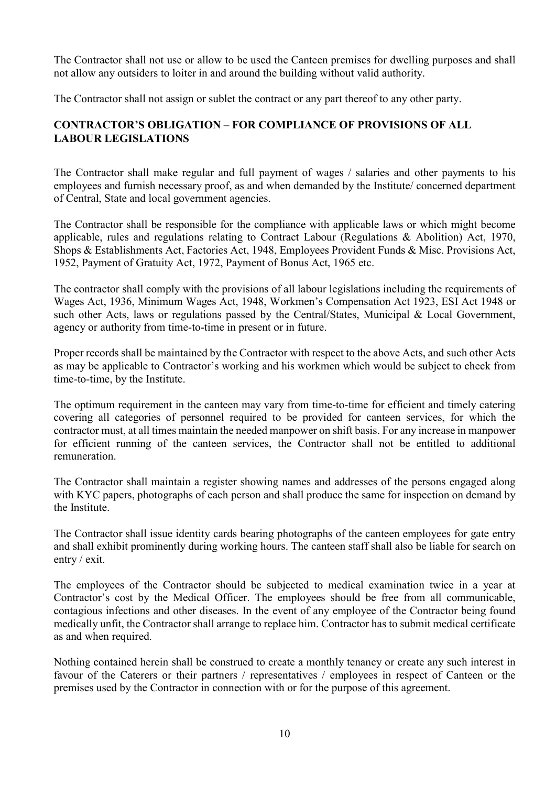The Contractor shall not use or allow to be used the Canteen premises for dwelling purposes and shall not allow any outsiders to loiter in and around the building without valid authority.

The Contractor shall not assign or sublet the contract or any part thereof to any other party.

# CONTRACTOR'S OBLIGATION – FOR COMPLIANCE OF PROVISIONS OF ALL LABOUR LEGISLATIONS

The Contractor shall make regular and full payment of wages / salaries and other payments to his employees and furnish necessary proof, as and when demanded by the Institute/ concerned department of Central, State and local government agencies.

The Contractor shall be responsible for the compliance with applicable laws or which might become applicable, rules and regulations relating to Contract Labour (Regulations & Abolition) Act, 1970, Shops & Establishments Act, Factories Act, 1948, Employees Provident Funds & Misc. Provisions Act, 1952, Payment of Gratuity Act, 1972, Payment of Bonus Act, 1965 etc.

The contractor shall comply with the provisions of all labour legislations including the requirements of Wages Act, 1936, Minimum Wages Act, 1948, Workmen's Compensation Act 1923, ESI Act 1948 or such other Acts, laws or regulations passed by the Central/States, Municipal & Local Government, agency or authority from time-to-time in present or in future.

Proper records shall be maintained by the Contractor with respect to the above Acts, and such other Acts as may be applicable to Contractor's working and his workmen which would be subject to check from time-to-time, by the Institute.

The optimum requirement in the canteen may vary from time-to-time for efficient and timely catering covering all categories of personnel required to be provided for canteen services, for which the contractor must, at all times maintain the needed manpower on shift basis. For any increase in manpower for efficient running of the canteen services, the Contractor shall not be entitled to additional remuneration.

The Contractor shall maintain a register showing names and addresses of the persons engaged along with KYC papers, photographs of each person and shall produce the same for inspection on demand by the Institute.

The Contractor shall issue identity cards bearing photographs of the canteen employees for gate entry and shall exhibit prominently during working hours. The canteen staff shall also be liable for search on entry / exit.

The employees of the Contractor should be subjected to medical examination twice in a year at Contractor's cost by the Medical Officer. The employees should be free from all communicable, contagious infections and other diseases. In the event of any employee of the Contractor being found medically unfit, the Contractor shall arrange to replace him. Contractor has to submit medical certificate as and when required.

Nothing contained herein shall be construed to create a monthly tenancy or create any such interest in favour of the Caterers or their partners / representatives / employees in respect of Canteen or the premises used by the Contractor in connection with or for the purpose of this agreement.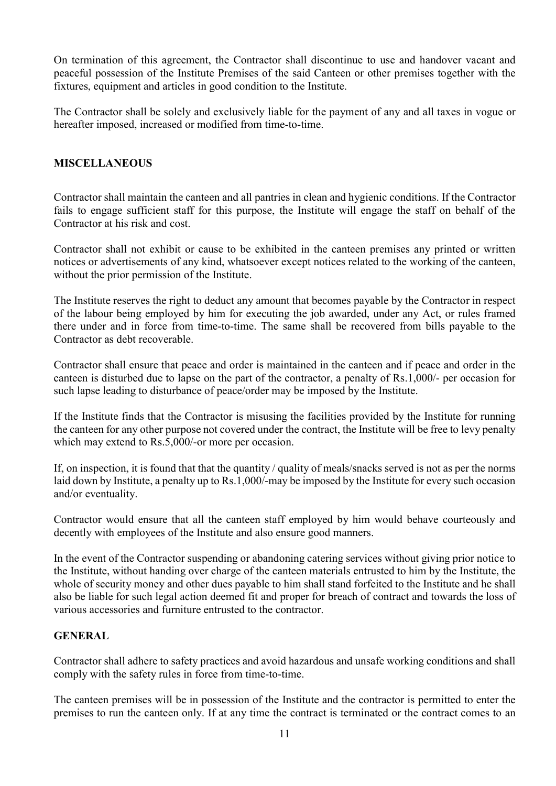On termination of this agreement, the Contractor shall discontinue to use and handover vacant and peaceful possession of the Institute Premises of the said Canteen or other premises together with the fixtures, equipment and articles in good condition to the Institute.

The Contractor shall be solely and exclusively liable for the payment of any and all taxes in vogue or hereafter imposed, increased or modified from time-to-time.

## MISCELLANEOUS

Contractor shall maintain the canteen and all pantries in clean and hygienic conditions. If the Contractor fails to engage sufficient staff for this purpose, the Institute will engage the staff on behalf of the Contractor at his risk and cost.

Contractor shall not exhibit or cause to be exhibited in the canteen premises any printed or written notices or advertisements of any kind, whatsoever except notices related to the working of the canteen, without the prior permission of the Institute.

The Institute reserves the right to deduct any amount that becomes payable by the Contractor in respect of the labour being employed by him for executing the job awarded, under any Act, or rules framed there under and in force from time-to-time. The same shall be recovered from bills payable to the Contractor as debt recoverable.

Contractor shall ensure that peace and order is maintained in the canteen and if peace and order in the canteen is disturbed due to lapse on the part of the contractor, a penalty of Rs.1,000/- per occasion for such lapse leading to disturbance of peace/order may be imposed by the Institute.

If the Institute finds that the Contractor is misusing the facilities provided by the Institute for running the canteen for any other purpose not covered under the contract, the Institute will be free to levy penalty which may extend to Rs.5,000/-or more per occasion.

If, on inspection, it is found that that the quantity / quality of meals/snacks served is not as per the norms laid down by Institute, a penalty up to Rs.1,000/-may be imposed by the Institute for every such occasion and/or eventuality.

Contractor would ensure that all the canteen staff employed by him would behave courteously and decently with employees of the Institute and also ensure good manners.

In the event of the Contractor suspending or abandoning catering services without giving prior notice to the Institute, without handing over charge of the canteen materials entrusted to him by the Institute, the whole of security money and other dues payable to him shall stand forfeited to the Institute and he shall also be liable for such legal action deemed fit and proper for breach of contract and towards the loss of various accessories and furniture entrusted to the contractor.

### GENERAL

Contractor shall adhere to safety practices and avoid hazardous and unsafe working conditions and shall comply with the safety rules in force from time-to-time.

The canteen premises will be in possession of the Institute and the contractor is permitted to enter the premises to run the canteen only. If at any time the contract is terminated or the contract comes to an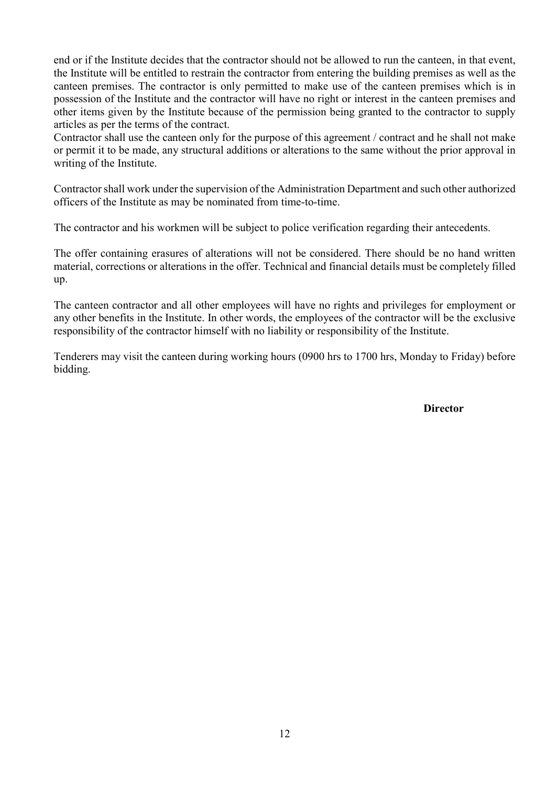end or if the Institute decides that the contractor should not be allowed to run the canteen, in that event, the Institute will be entitled to restrain the contractor from entering the building premises as well as the canteen premises. The contractor is only permitted to make use of the canteen premises which is in possession of the Institute and the contractor will have no right or interest in the canteen premises and other items given by the Institute because of the permission being granted to the contractor to supply articles as per the terms of the contract.

Contractor shall use the canteen only for the purpose of this agreement / contract and he shall not make or permit it to be made, any structural additions or alterations to the same without the prior approval in writing of the Institute.

Contractor shall work under the supervision of the Administration Department and such other authorized officers of the Institute as may be nominated from time-to-time.

The contractor and his workmen will be subject to police verification regarding their antecedents.

The offer containing erasures of alterations will not be considered. There should be no hand written material, corrections or alterations in the offer. Technical and financial details must be completely filled up.

The canteen contractor and all other employees will have no rights and privileges for employment or any other benefits in the Institute. In other words, the employees of the contractor will be the exclusive responsibility of the contractor himself with no liability or responsibility of the Institute.

Tenderers may visit the canteen during working hours (0900 hrs to 1700 hrs, Monday to Friday) before bidding.

**Director**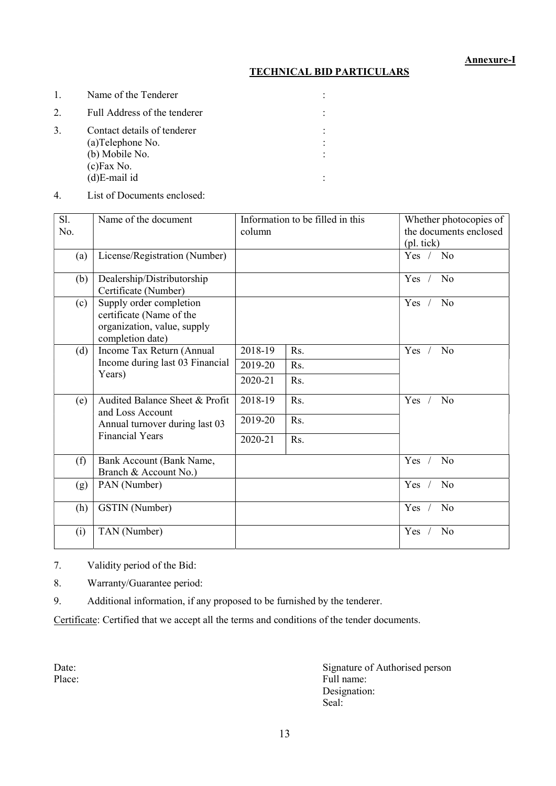## TECHNICAL BID PARTICULARS

| 1. | Name of the Tenderer                                                                                   |  |
|----|--------------------------------------------------------------------------------------------------------|--|
| 2. | Full Address of the tenderer                                                                           |  |
| 3. | Contact details of tenderer<br>(a) Telephone No.<br>(b) Mobile No.<br>$(c)$ Fax No.<br>$(d)E$ -mail id |  |
|    |                                                                                                        |  |

4. List of Documents enclosed:

| Sl.<br>No. | Name of the document                                                                                   | column  | Information to be filled in this | Whether photocopies of<br>the documents enclosed<br>(pl. tick) |
|------------|--------------------------------------------------------------------------------------------------------|---------|----------------------------------|----------------------------------------------------------------|
| (a)        | License/Registration (Number)                                                                          |         |                                  | Yes / No                                                       |
| (b)        | Dealership/Distributorship<br>Certificate (Number)                                                     |         |                                  | N <sub>o</sub><br>Yes                                          |
| (c)        | Supply order completion<br>certificate (Name of the<br>organization, value, supply<br>completion date) |         |                                  | Yes<br>No                                                      |
| (d)        | Income Tax Return (Annual<br>Income during last 03 Financial<br>Years)                                 | 2018-19 | Rs.                              | N <sub>o</sub><br>Yes                                          |
|            |                                                                                                        | 2019-20 | Rs.                              |                                                                |
|            |                                                                                                        | 2020-21 | Rs.                              |                                                                |
| (e)        | Audited Balance Sheet & Profit<br>and Loss Account                                                     | 2018-19 | Rs.                              | Yes<br>No                                                      |
|            | Annual turnover during last 03<br><b>Financial Years</b>                                               | 2019-20 | Rs.                              |                                                                |
|            |                                                                                                        | 2020-21 | Rs.                              |                                                                |
| (f)        | Bank Account (Bank Name,<br>Branch & Account No.)                                                      |         |                                  | Yes<br>N <sub>o</sub>                                          |
| (g)        | PAN (Number)                                                                                           |         |                                  | N <sub>o</sub><br>Yes                                          |
| (h)        | GSTIN (Number)                                                                                         |         |                                  | Yes<br>N <sub>o</sub>                                          |
| (i)        | TAN (Number)                                                                                           |         |                                  | Yes<br>No                                                      |

7. Validity period of the Bid:

8. Warranty/Guarantee period:

9. Additional information, if any proposed to be furnished by the tenderer.

Certificate: Certified that we accept all the terms and conditions of the tender documents.

Date:<br>
Place:<br>
Place:<br>
Signature of Authorised person<br>
Full name: Full name: Designation:<br>Seal: Seal: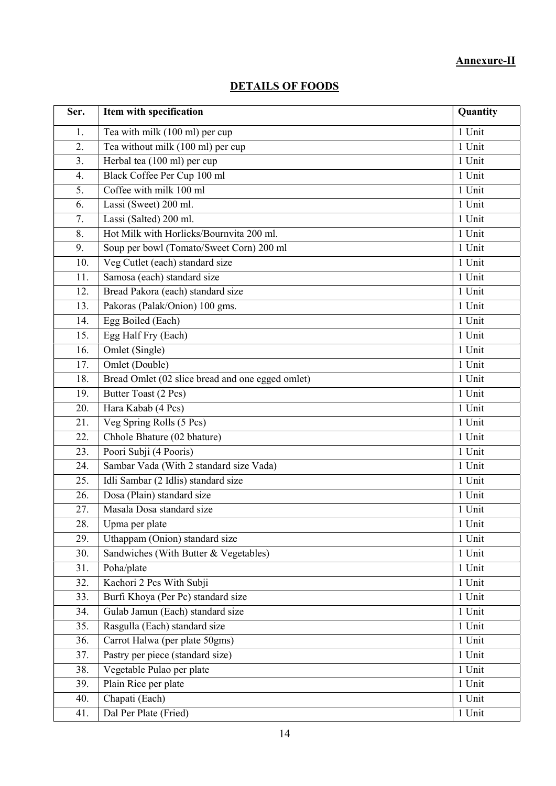# Annexure-II

| Ser. | Item with specification                          | Quantity |
|------|--------------------------------------------------|----------|
| 1.   | Tea with milk (100 ml) per cup                   | 1 Unit   |
| 2.   | Tea without milk (100 ml) per cup                | 1 Unit   |
| 3.   | Herbal tea (100 ml) per cup                      | 1 Unit   |
| 4.   | Black Coffee Per Cup 100 ml                      | 1 Unit   |
| 5.   | Coffee with milk 100 ml                          | 1 Unit   |
| 6.   | Lassi (Sweet) 200 ml.                            | 1 Unit   |
| 7.   | Lassi (Salted) 200 ml.                           | 1 Unit   |
| 8.   | Hot Milk with Horlicks/Bournvita 200 ml.         | 1 Unit   |
| 9.   | Soup per bowl (Tomato/Sweet Corn) 200 ml         | 1 Unit   |
| 10.  | Veg Cutlet (each) standard size                  | 1 Unit   |
| 11.  | Samosa (each) standard size                      | 1 Unit   |
| 12.  | Bread Pakora (each) standard size                | 1 Unit   |
| 13.  | Pakoras (Palak/Onion) 100 gms.                   | 1 Unit   |
| 14.  | Egg Boiled (Each)                                | 1 Unit   |
| 15.  | Egg Half Fry (Each)                              | 1 Unit   |
| 16.  | Omlet (Single)                                   | 1 Unit   |
| 17.  | Omlet (Double)                                   | 1 Unit   |
| 18.  | Bread Omlet (02 slice bread and one egged omlet) | 1 Unit   |
| 19.  | Butter Toast (2 Pcs)                             | 1 Unit   |
| 20.  | Hara Kabab (4 Pcs)                               | 1 Unit   |
| 21.  | Veg Spring Rolls (5 Pcs)                         | 1 Unit   |
| 22.  | Chhole Bhature (02 bhature)                      | 1 Unit   |
| 23.  | Poori Subji (4 Pooris)                           | 1 Unit   |
| 24.  | Sambar Vada (With 2 standard size Vada)          | 1 Unit   |
| 25.  | Idli Sambar (2 Idlis) standard size              | 1 Unit   |
| 26.  | Dosa (Plain) standard size                       | 1 Unit   |
| 27.  | Masala Dosa standard size                        | 1 Unit   |
| 28.  | Upma per plate                                   | 1 Unit   |
| 29.  | Uthappam (Onion) standard size                   | 1 Unit   |
| 30.  | Sandwiches (With Butter & Vegetables)            | 1 Unit   |
| 31.  | Poha/plate                                       | 1 Unit   |
| 32.  | Kachori 2 Pcs With Subji                         | 1 Unit   |
| 33.  | Burfi Khoya (Per Pc) standard size               | 1 Unit   |
| 34.  | Gulab Jamun (Each) standard size                 | 1 Unit   |
| 35.  | Rasgulla (Each) standard size                    | 1 Unit   |
| 36.  | Carrot Halwa (per plate 50gms)                   | 1 Unit   |
| 37.  | Pastry per piece (standard size)                 | 1 Unit   |
| 38.  | Vegetable Pulao per plate                        | 1 Unit   |
| 39.  | Plain Rice per plate                             | 1 Unit   |
| 40.  | Chapati (Each)                                   | 1 Unit   |
| 41.  | Dal Per Plate (Fried)                            | 1 Unit   |

# DETAILS OF FOODS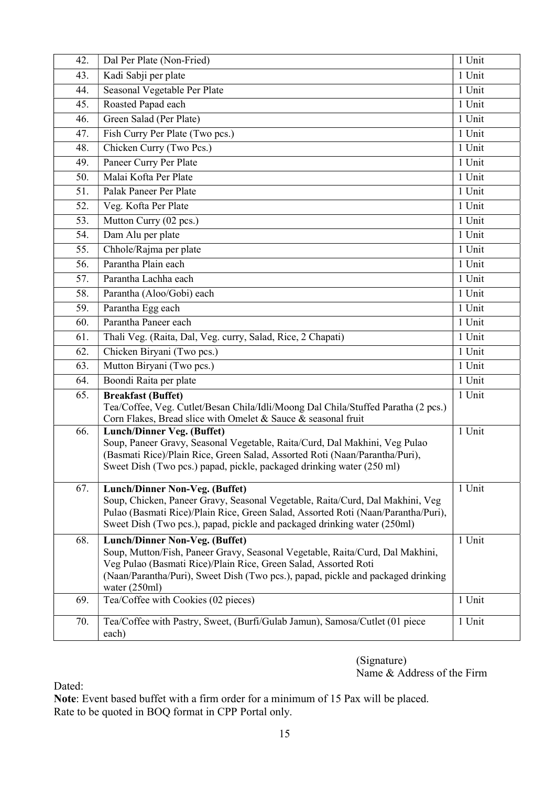| 42. | Dal Per Plate (Non-Fried)                                                                                                                        | 1 Unit |
|-----|--------------------------------------------------------------------------------------------------------------------------------------------------|--------|
| 43. | Kadi Sabji per plate                                                                                                                             | 1 Unit |
| 44. | Seasonal Vegetable Per Plate                                                                                                                     | 1 Unit |
| 45. | Roasted Papad each                                                                                                                               | 1 Unit |
| 46. | Green Salad (Per Plate)                                                                                                                          | 1 Unit |
| 47. | Fish Curry Per Plate (Two pcs.)                                                                                                                  | 1 Unit |
| 48. | Chicken Curry (Two Pcs.)                                                                                                                         | 1 Unit |
| 49. | Paneer Curry Per Plate                                                                                                                           | 1 Unit |
| 50. | Malai Kofta Per Plate                                                                                                                            | 1 Unit |
| 51. | Palak Paneer Per Plate                                                                                                                           | 1 Unit |
| 52. | Veg. Kofta Per Plate                                                                                                                             | 1 Unit |
| 53. | Mutton Curry (02 pcs.)                                                                                                                           | 1 Unit |
| 54. | Dam Alu per plate                                                                                                                                | 1 Unit |
| 55. | Chhole/Rajma per plate                                                                                                                           | 1 Unit |
| 56. | Parantha Plain each                                                                                                                              | 1 Unit |
| 57. | Parantha Lachha each                                                                                                                             | 1 Unit |
| 58. | Parantha (Aloo/Gobi) each                                                                                                                        | 1 Unit |
| 59. | Parantha Egg each                                                                                                                                | 1 Unit |
| 60. | Parantha Paneer each                                                                                                                             | 1 Unit |
| 61. | Thali Veg. (Raita, Dal, Veg. curry, Salad, Rice, 2 Chapati)                                                                                      | 1 Unit |
| 62. | Chicken Biryani (Two pcs.)                                                                                                                       | 1 Unit |
| 63. | Mutton Biryani (Two pcs.)                                                                                                                        | 1 Unit |
| 64. | Boondi Raita per plate                                                                                                                           | 1 Unit |
| 65. | <b>Breakfast (Buffet)</b>                                                                                                                        | 1 Unit |
|     | Tea/Coffee, Veg. Cutlet/Besan Chila/Idli/Moong Dal Chila/Stuffed Paratha (2 pcs.)                                                                |        |
| 66. | Corn Flakes, Bread slice with Omelet & Sauce & seasonal fruit<br><b>Lunch/Dinner Veg. (Buffet)</b>                                               | 1 Unit |
|     | Soup, Paneer Gravy, Seasonal Vegetable, Raita/Curd, Dal Makhini, Veg Pulao                                                                       |        |
|     | (Basmati Rice)/Plain Rice, Green Salad, Assorted Roti (Naan/Parantha/Puri),                                                                      |        |
|     | Sweet Dish (Two pcs.) papad, pickle, packaged drinking water (250 ml)                                                                            |        |
| 67. | Lunch/Dinner Non-Veg. (Buffet)                                                                                                                   | 1 Unit |
|     | Soup, Chicken, Paneer Gravy, Seasonal Vegetable, Raita/Curd, Dal Makhini, Veg                                                                    |        |
|     | Pulao (Basmati Rice)/Plain Rice, Green Salad, Assorted Roti (Naan/Parantha/Puri),                                                                |        |
|     | Sweet Dish (Two pcs.), papad, pickle and packaged drinking water (250ml)                                                                         |        |
| 68. | Lunch/Dinner Non-Veg. (Buffet)                                                                                                                   | 1 Unit |
|     | Soup, Mutton/Fish, Paneer Gravy, Seasonal Vegetable, Raita/Curd, Dal Makhini,<br>Veg Pulao (Basmati Rice)/Plain Rice, Green Salad, Assorted Roti |        |
|     | (Naan/Parantha/Puri), Sweet Dish (Two pcs.), papad, pickle and packaged drinking                                                                 |        |
|     | water (250ml)                                                                                                                                    |        |
| 69. | Tea/Coffee with Cookies (02 pieces)                                                                                                              | 1 Unit |
| 70. | Tea/Coffee with Pastry, Sweet, (Burfi/Gulab Jamun), Samosa/Cutlet (01 piece                                                                      | 1 Unit |
|     | each)                                                                                                                                            |        |

(Signature) Name & Address of the Firm

Dated:

Note: Event based buffet with a firm order for a minimum of 15 Pax will be placed. Rate to be quoted in BOQ format in CPP Portal only.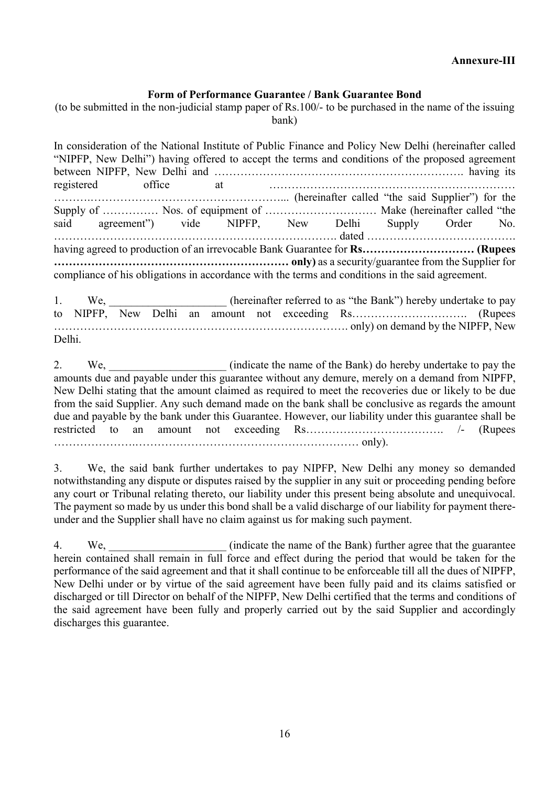#### Form of Performance Guarantee / Bank Guarantee Bond

(to be submitted in the non-judicial stamp paper of Rs.100/- to be purchased in the name of the issuing bank)

In consideration of the National Institute of Public Finance and Policy New Delhi (hereinafter called "NIPFP, New Delhi") having offered to accept the terms and conditions of the proposed agreement between NIPFP, New Delhi and …………………………………………………………. having its registered office at ………………………………………………………… ……….……………………………………………... (hereinafter called "the said Supplier") for the Supply of …………… Nos. of equipment of ………………………… Make (hereinafter called "the said agreement") vide NIPFP, New Delhi Supply Order No. …………………………………………………………………. dated …………………………………. having agreed to production of an irrevocable Bank Guarantee for **Rs**…………………………… (Rupees ……………………………………………………… only) as a security/guarantee from the Supplier for compliance of his obligations in accordance with the terms and conditions in the said agreement. 1. We, \_\_\_\_\_\_\_\_\_\_\_\_\_\_\_\_\_\_\_ (hereinafter referred to as "the Bank") hereby undertake to pay to NIPFP, New Delhi an amount not exceeding Rs…………………………. (Rupees ……………………………………………………………………. only) on demand by the NIPFP, New

Delhi.

2. We, **Example 2.** (indicate the name of the Bank) do hereby undertake to pay the amounts due and payable under this guarantee without any demure, merely on a demand from NIPFP, New Delhi stating that the amount claimed as required to meet the recoveries due or likely to be due from the said Supplier. Any such demand made on the bank shall be conclusive as regards the amount due and payable by the bank under this Guarantee. However, our liability under this guarantee shall be restricted to an amount not exceeding Rs………………………………. /- (Rupees ………………….…………………………………………………… only).

3. We, the said bank further undertakes to pay NIPFP, New Delhi any money so demanded notwithstanding any dispute or disputes raised by the supplier in any suit or proceeding pending before any court or Tribunal relating thereto, our liability under this present being absolute and unequivocal. The payment so made by us under this bond shall be a valid discharge of our liability for payment thereunder and the Supplier shall have no claim against us for making such payment.

4. We, we constrained We make the name of the Bank) further agree that the guarantee herein contained shall remain in full force and effect during the period that would be taken for the performance of the said agreement and that it shall continue to be enforceable till all the dues of NIPFP, New Delhi under or by virtue of the said agreement have been fully paid and its claims satisfied or discharged or till Director on behalf of the NIPFP, New Delhi certified that the terms and conditions of the said agreement have been fully and properly carried out by the said Supplier and accordingly discharges this guarantee.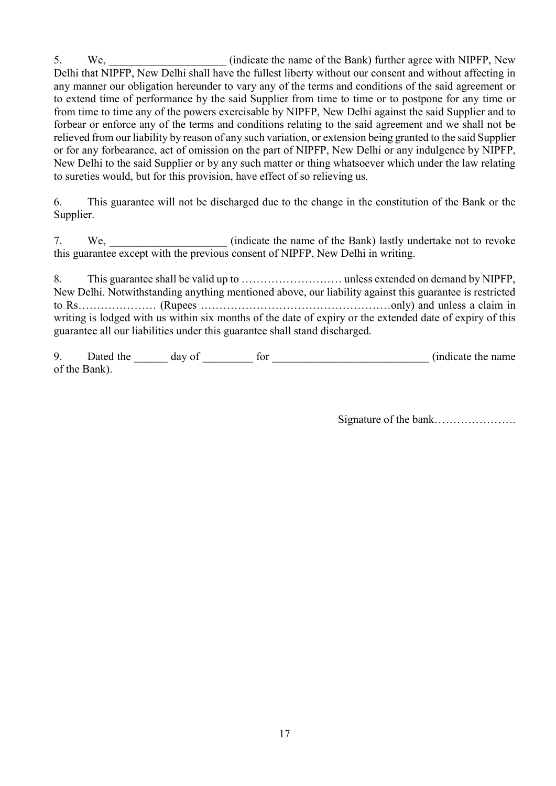5. We, we constrained with NIPFP, New (indicate the name of the Bank) further agree with NIPFP, New Delhi that NIPFP, New Delhi shall have the fullest liberty without our consent and without affecting in any manner our obligation hereunder to vary any of the terms and conditions of the said agreement or to extend time of performance by the said Supplier from time to time or to postpone for any time or from time to time any of the powers exercisable by NIPFP, New Delhi against the said Supplier and to forbear or enforce any of the terms and conditions relating to the said agreement and we shall not be relieved from our liability by reason of any such variation, or extension being granted to the said Supplier or for any forbearance, act of omission on the part of NIPFP, New Delhi or any indulgence by NIPFP, New Delhi to the said Supplier or by any such matter or thing whatsoever which under the law relating to sureties would, but for this provision, have effect of so relieving us.

6. This guarantee will not be discharged due to the change in the constitution of the Bank or the Supplier.

7. We, \_\_\_\_\_\_\_\_\_\_\_\_\_\_\_\_\_\_\_\_\_ (indicate the name of the Bank) lastly undertake not to revoke this guarantee except with the previous consent of NIPFP, New Delhi in writing.

8. This guarantee shall be valid up to ……………………… unless extended on demand by NIPFP, New Delhi. Notwithstanding anything mentioned above, our liability against this guarantee is restricted to Rs………………… (Rupees ……………………………………………only) and unless a claim in writing is lodged with us within six months of the date of expiry or the extended date of expiry of this guarantee all our liabilities under this guarantee shall stand discharged.

9. Dated the \_\_\_\_\_\_ day of \_\_\_\_\_\_\_\_\_ for \_\_\_\_\_\_\_\_\_\_\_\_\_\_\_\_\_\_\_\_\_\_\_\_\_\_\_\_ (indicate the name of the Bank).

Signature of the bank………………….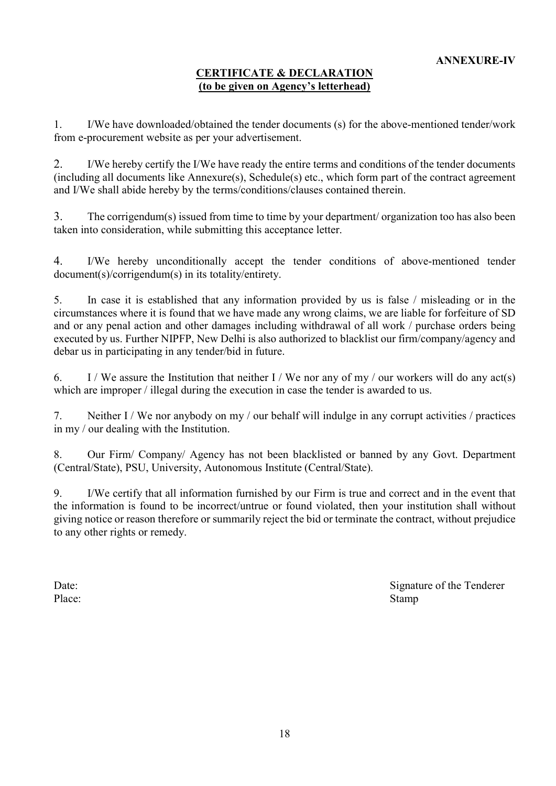## CERTIFICATE & DECLARATION (to be given on Agency's letterhead)

1. I/We have downloaded/obtained the tender documents (s) for the above-mentioned tender/work from e-procurement website as per your advertisement.

2. I/We hereby certify the I/We have ready the entire terms and conditions of the tender documents (including all documents like Annexure(s), Schedule(s) etc., which form part of the contract agreement and I/We shall abide hereby by the terms/conditions/clauses contained therein.

3. The corrigendum(s) issued from time to time by your department/ organization too has also been taken into consideration, while submitting this acceptance letter.

4. I/We hereby unconditionally accept the tender conditions of above-mentioned tender document(s)/corrigendum(s) in its totality/entirety.

5. In case it is established that any information provided by us is false / misleading or in the circumstances where it is found that we have made any wrong claims, we are liable for forfeiture of SD and or any penal action and other damages including withdrawal of all work / purchase orders being executed by us. Further NIPFP, New Delhi is also authorized to blacklist our firm/company/agency and debar us in participating in any tender/bid in future.

6. I / We assure the Institution that neither I / We nor any of my / our workers will do any act(s) which are improper / illegal during the execution in case the tender is awarded to us.

7. Neither I / We nor anybody on my / our behalf will indulge in any corrupt activities / practices in my / our dealing with the Institution.

8. Our Firm/ Company/ Agency has not been blacklisted or banned by any Govt. Department (Central/State), PSU, University, Autonomous Institute (Central/State).

9. I/We certify that all information furnished by our Firm is true and correct and in the event that the information is found to be incorrect/untrue or found violated, then your institution shall without giving notice or reason therefore or summarily reject the bid or terminate the contract, without prejudice to any other rights or remedy.

Date: Signature of the Tenderer Place: Stamp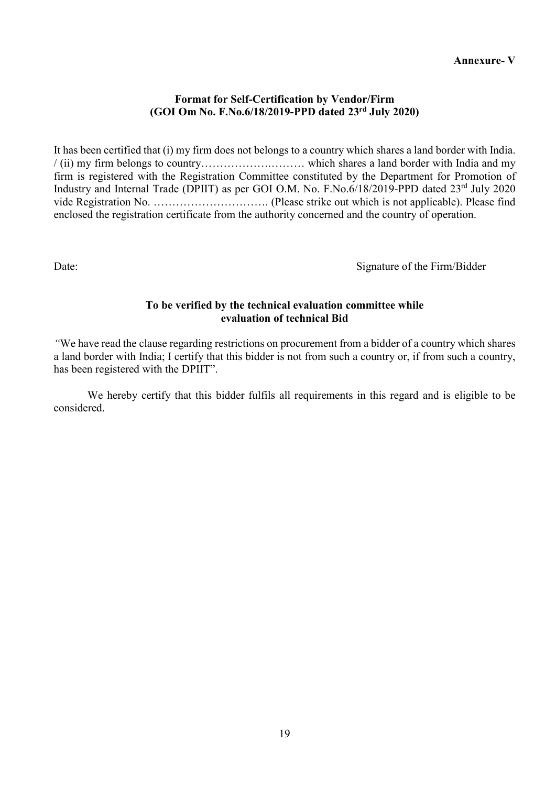#### Annexure- V

#### Format for Self-Certification by Vendor/Firm (GOI Om No. F.No.6/18/2019-PPD dated 23rd July 2020)

It has been certified that (i) my firm does not belongs to a country which shares a land border with India. / (ii) my firm belongs to country……………….……… which shares a land border with India and my firm is registered with the Registration Committee constituted by the Department for Promotion of Industry and Internal Trade (DPIIT) as per GOI O.M. No. F.No.6/18/2019-PPD dated 23rd July 2020 vide Registration No. …………………………. (Please strike out which is not applicable). Please find enclosed the registration certificate from the authority concerned and the country of operation.

Date: Signature of the Firm/Bidder

#### To be verified by the technical evaluation committee while evaluation of technical Bid

"We have read the clause regarding restrictions on procurement from a bidder of a country which shares a land border with India; I certify that this bidder is not from such a country or, if from such a country, has been registered with the DPIIT".

We hereby certify that this bidder fulfils all requirements in this regard and is eligible to be considered.